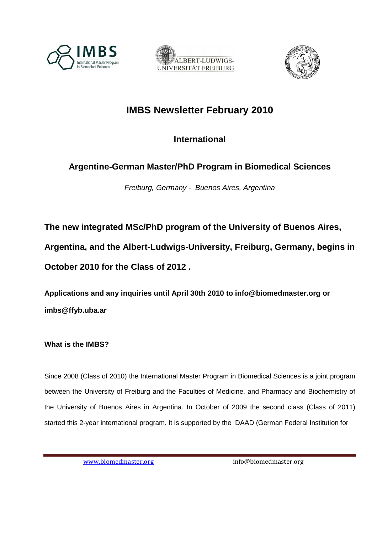





# **IMBS Newsletter February 2010**

**International** 

# **Argentine-German Master/PhD Program in Biomedical Sciences**

Freiburg, Germany - Buenos Aires, Argentina

**The new integrated MSc/PhD program of the University of Buenos Aires, Argentina, and the Albert-Ludwigs-University, Freiburg, Germany, begins in October 2010 for the Class of 2012 .** 

**Applications and any inquiries until April 30th 2010 to info@biomedmaster.org or imbs@ffyb.uba.ar** 

**What is the IMBS?** 

Since 2008 (Class of 2010) the International Master Program in Biomedical Sciences is a joint program between the University of Freiburg and the Faculties of Medicine, and Pharmacy and Biochemistry of the University of Buenos Aires in Argentina. In October of 2009 the second class (Class of 2011) started this 2-year international program. It is supported by the DAAD (German Federal Institution for

www.biomedmaster.org info@biomedmaster.org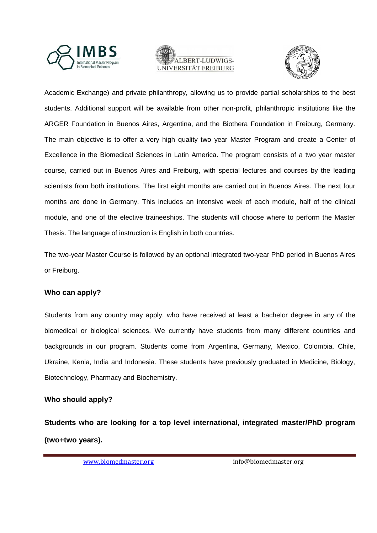





Academic Exchange) and private philanthropy, allowing us to provide partial scholarships to the best students. Additional support will be available from other non-profit, philanthropic institutions like the ARGER Foundation in Buenos Aires, Argentina, and the Biothera Foundation in Freiburg, Germany. The main objective is to offer a very high quality two year Master Program and create a Center of Excellence in the Biomedical Sciences in Latin America. The program consists of a two year master course, carried out in Buenos Aires and Freiburg, with special lectures and courses by the leading scientists from both institutions. The first eight months are carried out in Buenos Aires. The next four months are done in Germany. This includes an intensive week of each module, half of the clinical module, and one of the elective traineeships. The students will choose where to perform the Master Thesis. The language of instruction is English in both countries.

The two-year Master Course is followed by an optional integrated two-year PhD period in Buenos Aires or Freiburg.

### **Who can apply?**

Students from any country may apply, who have received at least a bachelor degree in any of the biomedical or biological sciences. We currently have students from many different countries and backgrounds in our program. Students come from Argentina, Germany, Mexico, Colombia, Chile, Ukraine, Kenia, India and Indonesia. These students have previously graduated in Medicine, Biology, Biotechnology, Pharmacy and Biochemistry.

### **Who should apply?**

**Students who are looking for a top level international, integrated master/PhD program (two+two years).**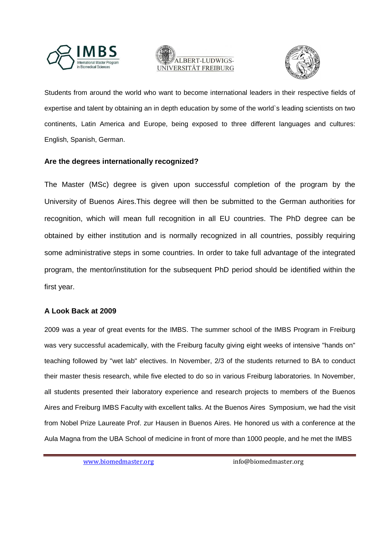





Students from around the world who want to become international leaders in their respective fields of expertise and talent by obtaining an in depth education by some of the world`s leading scientists on two continents, Latin America and Europe, being exposed to three different languages and cultures: English, Spanish, German.

### **Are the degrees internationally recognized?**

The Master (MSc) degree is given upon successful completion of the program by the University of Buenos Aires.This degree will then be submitted to the German authorities for recognition, which will mean full recognition in all EU countries. The PhD degree can be obtained by either institution and is normally recognized in all countries, possibly requiring some administrative steps in some countries. In order to take full advantage of the integrated program, the mentor/institution for the subsequent PhD period should be identified within the first year.

### **A Look Back at 2009**

2009 was a year of great events for the IMBS. The summer school of the IMBS Program in Freiburg was very successful academically, with the Freiburg faculty giving eight weeks of intensive "hands on" teaching followed by "wet lab" electives. In November, 2/3 of the students returned to BA to conduct their master thesis research, while five elected to do so in various Freiburg laboratories. In November, all students presented their laboratory experience and research projects to members of the Buenos Aires and Freiburg IMBS Faculty with excellent talks. At the Buenos Aires Symposium, we had the visit from Nobel Prize Laureate Prof. zur Hausen in Buenos Aires. He honored us with a conference at the Aula Magna from the UBA School of medicine in front of more than 1000 people, and he met the IMBS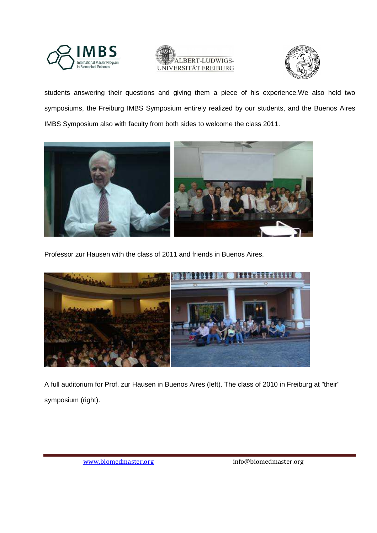





students answering their questions and giving them a piece of his experience.We also held two symposiums, the Freiburg IMBS Symposium entirely realized by our students, and the Buenos Aires IMBS Symposium also with faculty from both sides to welcome the class 2011.



Professor zur Hausen with the class of 2011 and friends in Buenos Aires.



A full auditorium for Prof. zur Hausen in Buenos Aires (left). The class of 2010 in Freiburg at "their" symposium (right).

www.biomedmaster.org info@biomedmaster.org